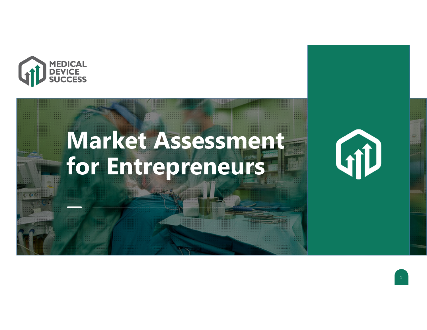

# **Market Assessment for Entrepreneurs**



1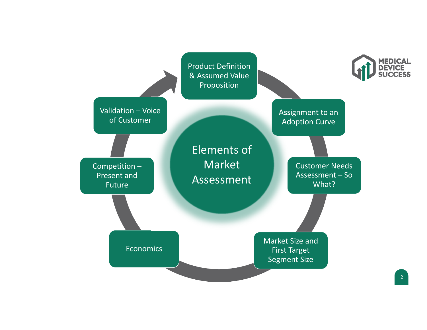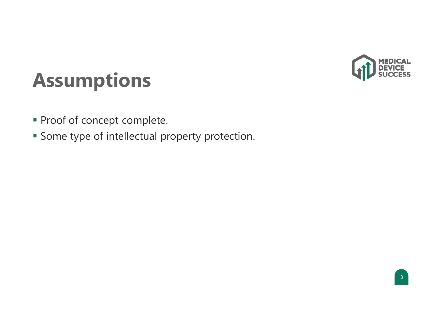

### **Assumptions**

- **Proof of concept complete.**
- **Some type of intellectual property protection.**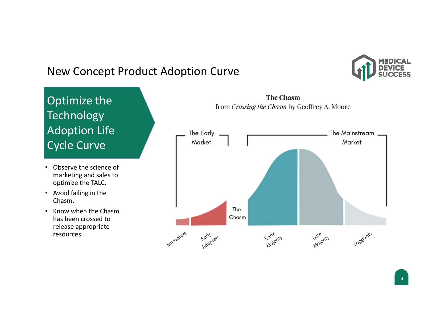#### New Concept Product Adoption Curve



#### $\bigcap$ Optimize the  $\Gamma$ Technology Adoption Life Adoption Life Cycle Curve Cycle Curve Optimize the Technology

- Observe the science of marketing and sales to optimize the TALC.
- Avoid failing in the Chasm.
- Know when the Chasmhas been crossed torelease appropriate resources.



**The Chasm**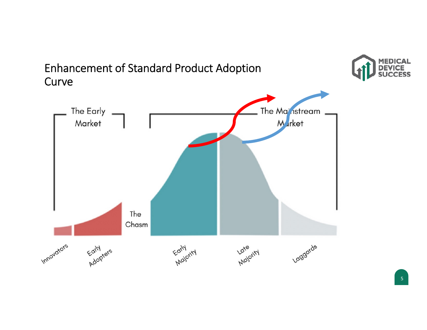

Enhancement of Standard Product Adoption

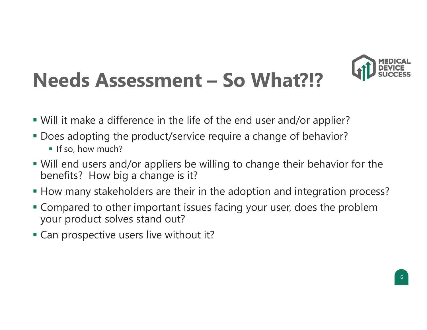

### **Needs Assessment – So What?!?**

- Will it make a difference in the life of the end user and/or applier?
- Does adopting the product/service require a change of behavior?
	- If so, how much?
- Will end users and/or appliers be willing to change their behavior for the benefits? How big a change is it?
- How many stakeholders are their in the adoption and integration process?
- Compared to other important issues facing your user, does the problem your product solves stand out?
- Can prospective users live without it?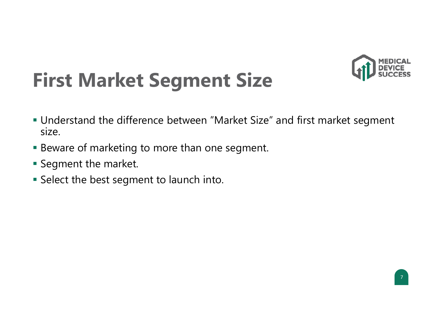

### **First Market Segment Size**

- Understand the difference between "Market Size" and first market segmen<sup>t</sup> size.
- Beware of marketing to more than one segment.
- $\blacksquare$  Segment the market.
- Select the best segmen<sup>t</sup> to launch into.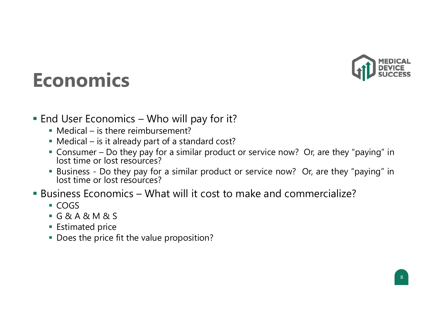

#### **Economics**

- $\blacksquare$  End User Economics Who will pay for it?
	- Medical is there reimbursement?
	- Medical is it already part of <sup>a</sup> standard cost?
	- Consumer Do they pay for <sup>a</sup> similar product or service now? Or, are they "paying" in lost time or lost resources?
	- Business Do they pay for <sup>a</sup> similar product or service now? Or, are they "paying" in lost time or lost resources?

#### Business Economics – What will it cost to make and commercialize?

- COGS
- G&A&M&S
- **Estimated price**
- **Does the price fit the value proposition?**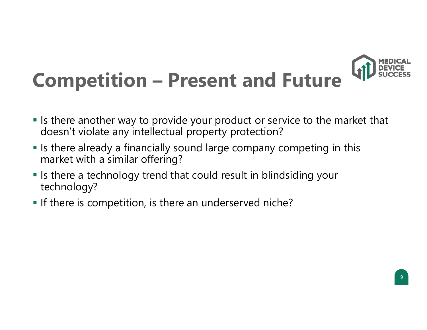

## **Competition – Present and Future**

- If Is there another way to provide your product or service to the market that doesn't violate any intellectual property protection?
- $\blacksquare$  Is there already a financially sound large company competing in this market with a similar offering?
- $\blacksquare$  Is there a technology trend that could result in blindsiding your technology?
- **If there is competition, is there an underserved niche?**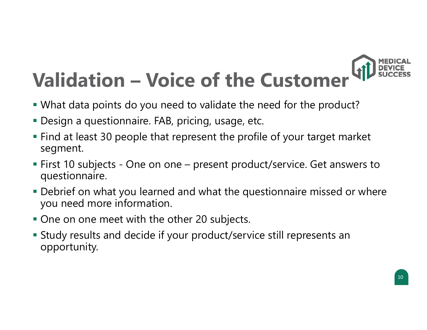

- What data points do you need to validate the need for the product?
- Design a questionnaire. FAB, pricing, usage, etc.
- Find at least 30 people that represent the profile of your target market segment.
- First 10 subjects One on one present product/service. Get answers to questionnaire.
- Debrief on what you learned and what the questionnaire missed or where you need more information.
- One on one meet with the other 20 subjects.
- Study results and decide if your product/service still represents an opportunity.